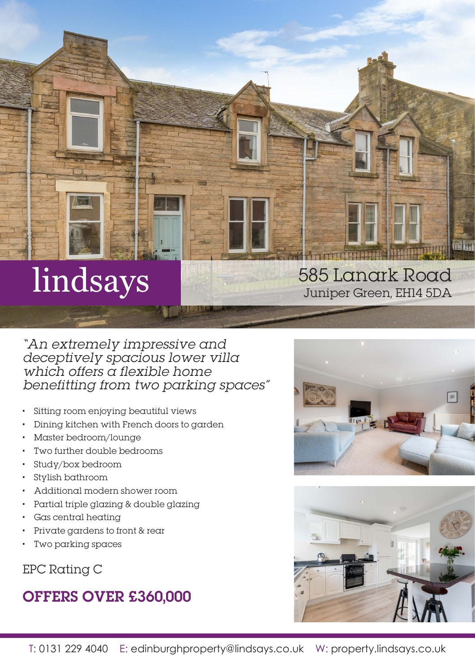# lindsays

"An extremely impressive and deceptively spacious lower villa which offers a flexible home benefitting from two parking spaces"

- Sitting room enjoying beautiful views
- Dining kitchen with French doors to garden
- Master bedroom/lounge
- Two further double bedrooms
- Study/box bedroom
- Stylish bathroom
- Additional modern shower room
- Partial triple glazing & double glazing
- Gas central heating
- Private gardens to front & rear
- Two parking spaces

EPC Rating C

## OFFERS OVER £360,000





585 Lanark Road

Juniper Green, EH14 5DA